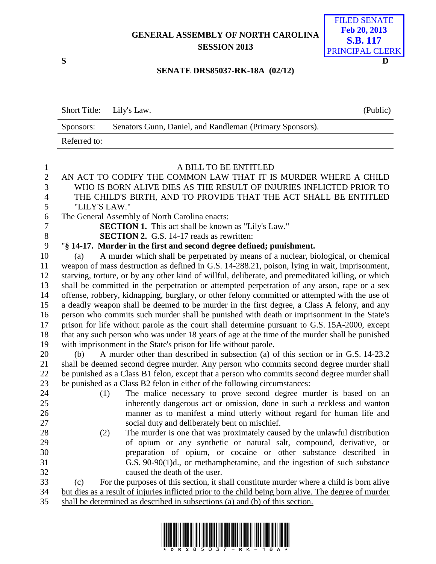# **GENERAL ASSEMBLY OF NORTH CAROLINA SESSION 2013**



#### **SENATE DRS85037-RK-18A (02/12)**

| Short Title: Lily's Law. |                                                          | (Public) |
|--------------------------|----------------------------------------------------------|----------|
| Sponsors:                | Senators Gunn, Daniel, and Randleman (Primary Sponsors). |          |
| Referred to:             |                                                          |          |

## A BILL TO BE ENTITLED AN ACT TO CODIFY THE COMMON LAW THAT IT IS MURDER WHERE A CHILD WHO IS BORN ALIVE DIES AS THE RESULT OF INJURIES INFLICTED PRIOR TO THE CHILD'S BIRTH, AND TO PROVIDE THAT THE ACT SHALL BE ENTITLED "LILY'S LAW." The General Assembly of North Carolina enacts: **SECTION 1.** This act shall be known as "Lily's Law." **SECTION 2.** G.S. 14-17 reads as rewritten: "**§ 14-17. Murder in the first and second degree defined; punishment.** (a) A murder which shall be perpetrated by means of a nuclear, biological, or chemical weapon of mass destruction as defined in G.S. 14-288.21, poison, lying in wait, imprisonment, starving, torture, or by any other kind of willful, deliberate, and premeditated killing, or which shall be committed in the perpetration or attempted perpetration of any arson, rape or a sex offense, robbery, kidnapping, burglary, or other felony committed or attempted with the use of a deadly weapon shall be deemed to be murder in the first degree, a Class A felony, and any person who commits such murder shall be punished with death or imprisonment in the State's prison for life without parole as the court shall determine pursuant to G.S. 15A-2000, except that any such person who was under 18 years of age at the time of the murder shall be punished with imprisonment in the State's prison for life without parole. (b) A murder other than described in subsection (a) of this section or in G.S. 14-23.2 shall be deemed second degree murder. Any person who commits second degree murder shall be punished as a Class B1 felon, except that a person who commits second degree murder shall be punished as a Class B2 felon in either of the following circumstances: (1) The malice necessary to prove second degree murder is based on an inherently dangerous act or omission, done in such a reckless and wanton manner as to manifest a mind utterly without regard for human life and social duty and deliberately bent on mischief. (2) The murder is one that was proximately caused by the unlawful distribution of opium or any synthetic or natural salt, compound, derivative, or preparation of opium, or cocaine or other substance described in G.S. 90-90(1)d., or methamphetamine, and the ingestion of such substance caused the death of the user. (c) For the purposes of this section, it shall constitute murder where a child is born alive

 but dies as a result of injuries inflicted prior to the child being born alive. The degree of murder shall be determined as described in subsections (a) and (b) of this section.